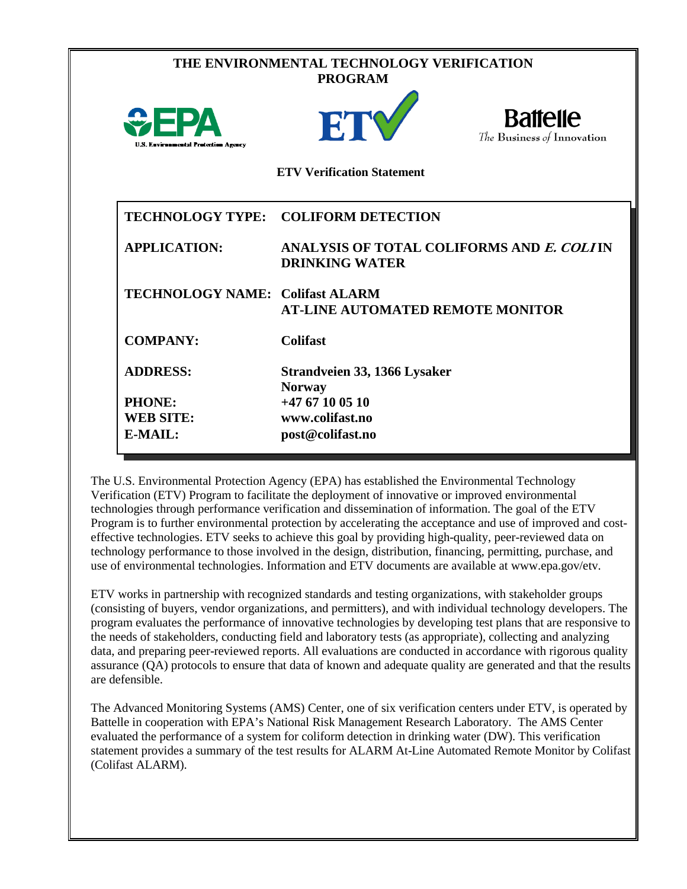| THE ENVIRONMENTAL TECHNOLOGY VERIFICATION<br><b>PROGRAM</b> |                                                                    |                                               |  |  |  |
|-------------------------------------------------------------|--------------------------------------------------------------------|-----------------------------------------------|--|--|--|
| <b>OPPA</b><br><b>U.S. Environmental Protection Agency</b>  | ETY                                                                | <b>Battelle</b><br>The Business of Innovation |  |  |  |
|                                                             | <b>ETV Verification Statement</b>                                  |                                               |  |  |  |
|                                                             | TECHNOLOGY TYPE: COLIFORM DETECTION                                |                                               |  |  |  |
| <b>APPLICATION:</b>                                         | ANALYSIS OF TOTAL COLIFORMS AND E. COLIIN<br><b>DRINKING WATER</b> |                                               |  |  |  |
| <b>TECHNOLOGY NAME: Colifast ALARM</b>                      | <b>AT-LINE AUTOMATED REMOTE MONITOR</b>                            |                                               |  |  |  |
| <b>COMPANY:</b>                                             | <b>Colifast</b>                                                    |                                               |  |  |  |
| <b>ADDRESS:</b>                                             | Strandveien 33, 1366 Lysaker<br><b>Norway</b>                      |                                               |  |  |  |
| PHONE:                                                      | $+4767100510$                                                      |                                               |  |  |  |
| <b>WEB SITE:</b>                                            | www.colifast.no                                                    |                                               |  |  |  |
| E-MAIL:                                                     | post@colifast.no                                                   |                                               |  |  |  |

The U.S. Environmental Protection Agency (EPA) has established the Environmental Technology Verification (ETV) Program to facilitate the deployment of innovative or improved environmental technologies through performance verification and dissemination of information. The goal of the ETV Program is to further environmental protection by accelerating the acceptance and use of improved and costeffective technologies. ETV seeks to achieve this goal by providing high-quality, peer-reviewed data on technology performance to those involved in the design, distribution, financing, permitting, purchase, and use of environmental technologies. Information and ETV documents are available at www.epa.gov/etv.

ETV works in partnership with recognized standards and testing organizations, with stakeholder groups (consisting of buyers, vendor organizations, and permitters), and with individual technology developers. The program evaluates the performance of innovative technologies by developing test plans that are responsive to the needs of stakeholders, conducting field and laboratory tests (as appropriate), collecting and analyzing data, and preparing peer-reviewed reports. All evaluations are conducted in accordance with rigorous quality assurance (QA) protocols to ensure that data of known and adequate quality are generated and that the results are defensible.

The Advanced Monitoring Systems (AMS) Center, one of six verification centers under ETV, is operated by Battelle in cooperation with EPA's National Risk Management Research Laboratory. The AMS Center evaluated the performance of a system for coliform detection in drinking water (DW). This verification statement provides a summary of the test results for ALARM At-Line Automated Remote Monitor by Colifast (Colifast ALARM).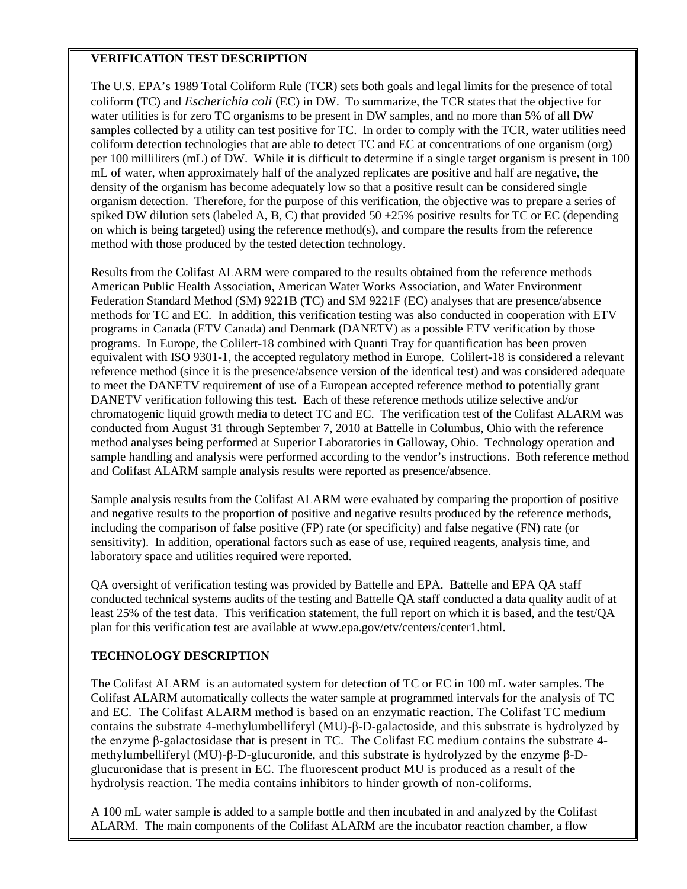## **VERIFICATION TEST DESCRIPTION**

The U.S. EPA's 1989 Total Coliform Rule (TCR) sets both goals and legal limits for the presence of total coliform (TC) and *Escherichia coli* (EC) in DW. To summarize, the TCR states that the objective for water utilities is for zero TC organisms to be present in DW samples, and no more than 5% of all DW samples collected by a utility can test positive for TC. In order to comply with the TCR, water utilities need coliform detection technologies that are able to detect TC and EC at concentrations of one organism (org) per 100 milliliters (mL) of DW. While it is difficult to determine if a single target organism is present in 100 mL of water, when approximately half of the analyzed replicates are positive and half are negative, the density of the organism has become adequately low so that a positive result can be considered single organism detection. Therefore, for the purpose of this verification, the objective was to prepare a series of spiked DW dilution sets (labeled A, B, C) that provided  $50 \pm 25\%$  positive results for TC or EC (depending on which is being targeted) using the reference method(s), and compare the results from the reference method with those produced by the tested detection technology.

Results from the Colifast ALARM were compared to the results obtained from the reference methods American Public Health Association, American Water Works Association, and Water Environment Federation Standard Method (SM) 9221B (TC) and SM 9221F (EC) analyses that are presence/absence methods for TC and EC*.* In addition, this verification testing was also conducted in cooperation with ETV programs in Canada (ETV Canada) and Denmark (DANETV) as a possible ETV verification by those programs. In Europe, the Colilert-18 combined with Quanti Tray for quantification has been proven equivalent with ISO 9301-1, the accepted regulatory method in Europe. Colilert-18 is considered a relevant reference method (since it is the presence/absence version of the identical test) and was considered adequate to meet the DANETV requirement of use of a European accepted reference method to potentially grant DANETV verification following this test. Each of these reference methods utilize selective and/or chromatogenic liquid growth media to detect TC and EC. The verification test of the Colifast ALARM was conducted from August 31 through September 7, 2010 at Battelle in Columbus, Ohio with the reference method analyses being performed at Superior Laboratories in Galloway, Ohio. Technology operation and sample handling and analysis were performed according to the vendor's instructions. Both reference method and Colifast ALARM sample analysis results were reported as presence/absence.

Sample analysis results from the Colifast ALARM were evaluated by comparing the proportion of positive and negative results to the proportion of positive and negative results produced by the reference methods, including the comparison of false positive (FP) rate (or specificity) and false negative (FN) rate (or sensitivity). In addition, operational factors such as ease of use, required reagents, analysis time, and laboratory space and utilities required were reported.

QA oversight of verification testing was provided by Battelle and EPA. Battelle and EPA QA staff conducted technical systems audits of the testing and Battelle QA staff conducted a data quality audit of at least 25% of the test data. This verification statement, the full report on which it is based, and the test/QA plan for this verification test are available at www.epa.gov/etv/centers/center1.html.

## **TECHNOLOGY DESCRIPTION**

The Colifast ALARM is an automated system for detection of TC or EC in 100 mL water samples. The Colifast ALARM automatically collects the water sample at programmed intervals for the analysis of TC and EC*.* The Colifast ALARM method is based on an enzymatic reaction. The Colifast TC medium contains the substrate 4-methylumbelliferyl (MU)-β-D-galactoside, and this substrate is hydrolyzed by the enzyme β-galactosidase that is present in TC. The Colifast EC medium contains the substrate 4 methylumbelliferyl (MU)-β-D-glucuronide, and this substrate is hydrolyzed by the enzyme β-Dglucuronidase that is present in EC. The fluorescent product MU is produced as a result of the hydrolysis reaction. The media contains inhibitors to hinder growth of non-coliforms.

A 100 mL water sample is added to a sample bottle and then incubated in and analyzed by the Colifast ALARM. The main components of the Colifast ALARM are the incubator reaction chamber, a flow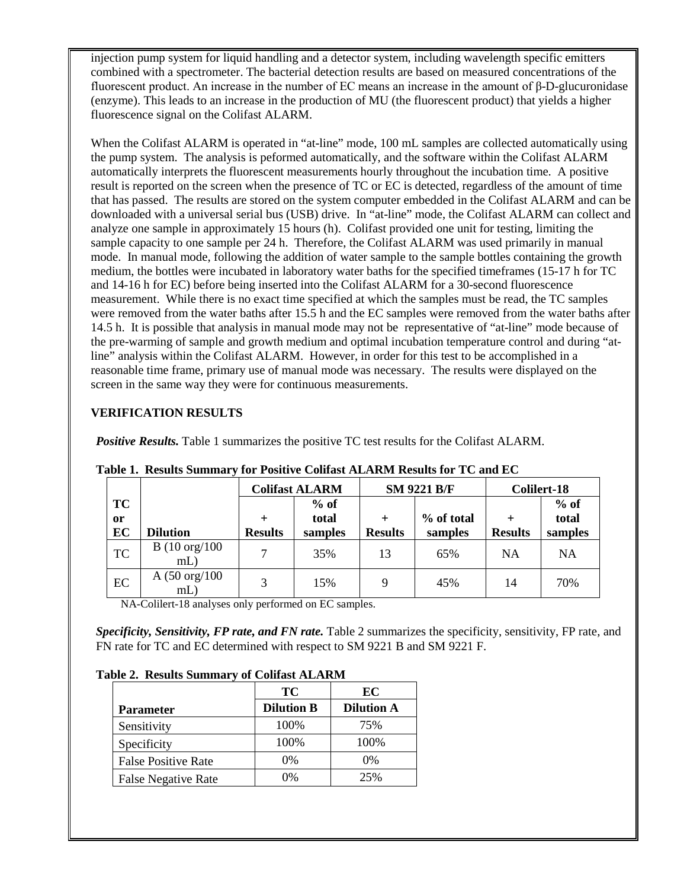injection pump system for liquid handling and a detector system, including wavelength specific emitters combined with a spectrometer. The bacterial detection results are based on measured concentrations of the fluorescent product. An increase in the number of EC means an increase in the amount of β-D-glucuronidase (enzyme). This leads to an increase in the production of MU (the fluorescent product) that yields a higher fluorescence signal on the Colifast ALARM.

When the Colifast ALARM is operated in "at-line" mode, 100 mL samples are collected automatically using the pump system. The analysis is peformed automatically, and the software within the Colifast ALARM automatically interprets the fluorescent measurements hourly throughout the incubation time. A positive result is reported on the screen when the presence of TC or EC is detected, regardless of the amount of time that has passed. The results are stored on the system computer embedded in the Colifast ALARM and can be downloaded with a universal serial bus (USB) drive. In "at-line" mode, the Colifast ALARM can collect and analyze one sample in approximately 15 hours (h). Colifast provided one unit for testing, limiting the sample capacity to one sample per 24 h. Therefore, the Colifast ALARM was used primarily in manual mode. In manual mode, following the addition of water sample to the sample bottles containing the growth medium, the bottles were incubated in laboratory water baths for the specified timeframes (15-17 h for TC and 14-16 h for EC) before being inserted into the Colifast ALARM for a 30-second fluorescence measurement. While there is no exact time specified at which the samples must be read, the TC samples were removed from the water baths after 15.5 h and the EC samples were removed from the water baths after 14.5 h. It is possible that analysis in manual mode may not be representative of "at-line" mode because of the pre-warming of sample and growth medium and optimal incubation temperature control and during "atline" analysis within the Colifast ALARM. However, in order for this test to be accomplished in a reasonable time frame, primary use of manual mode was necessary. The results were displayed on the screen in the same way they were for continuous measurements.

## **VERIFICATION RESULTS**

*Positive Results.* Table 1 summarizes the positive TC test results for the Colifast ALARM.

|                        |                                  | <b>Colifast ALARM</b> |                 | <b>SM 9221 B/F</b> |            | Colilert-18    |                 |
|------------------------|----------------------------------|-----------------------|-----------------|--------------------|------------|----------------|-----------------|
| <b>TC</b><br><b>or</b> |                                  |                       | $%$ of<br>total |                    | % of total |                | $%$ of<br>total |
| EC                     | <b>Dilution</b>                  | <b>Results</b>        | samples         | <b>Results</b>     | samples    | <b>Results</b> | samples         |
| <b>TC</b>              | $B(10 \text{ org}/100$<br>$mL$ ) |                       | 35%             | 13                 | 65%        | <b>NA</b>      | NA              |
| EC                     | A $(50 \text{ org}/100)$<br>mL   | 3                     | 15%             | 9                  | 45%        | 14             | 70%             |

**Table 1. Results Summary for Positive Colifast ALARM Results for TC and EC**

NA-Colilert-18 analyses only performed on EC samples.

*Specificity, Sensitivity, FP rate, and FN rate.* Table 2 summarizes the specificity, sensitivity, FP rate, and FN rate for TC and EC determined with respect to SM 9221 B and SM 9221 F.

## **Table 2. Results Summary of Colifast ALARM**

|                            | <b>TC</b>         | EC                |
|----------------------------|-------------------|-------------------|
| <b>Parameter</b>           | <b>Dilution B</b> | <b>Dilution A</b> |
| Sensitivity                | 100%              | 75%               |
| Specificity                | 100%              | 100%              |
| <b>False Positive Rate</b> | $0\%$             | $0\%$             |
| <b>False Negative Rate</b> | 0%                | 25%               |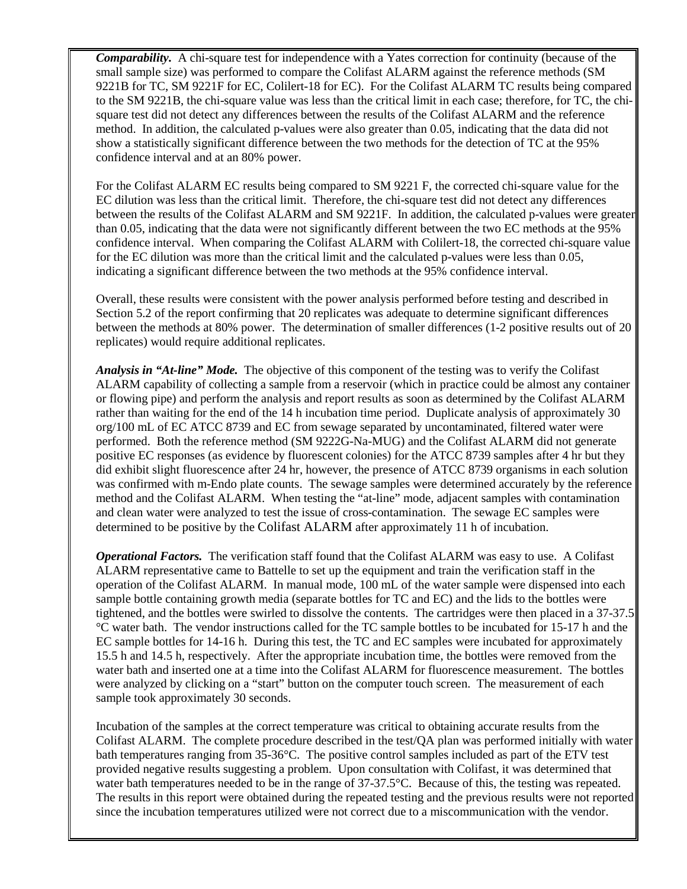*Comparability.* A chi-square test for independence with a Yates correction for continuity (because of the small sample size) was performed to compare the Colifast ALARM against the reference methods (SM 9221B for TC, SM 9221F for EC, Colilert-18 for EC). For the Colifast ALARM TC results being compared to the SM 9221B, the chi-square value was less than the critical limit in each case; therefore, for TC, the chisquare test did not detect any differences between the results of the Colifast ALARM and the reference method. In addition, the calculated p-values were also greater than 0.05, indicating that the data did not show a statistically significant difference between the two methods for the detection of TC at the 95% confidence interval and at an 80% power.

For the Colifast ALARM EC results being compared to SM 9221 F, the corrected chi-square value for the EC dilution was less than the critical limit. Therefore, the chi-square test did not detect any differences between the results of the Colifast ALARM and SM 9221F. In addition, the calculated p-values were greater than 0.05, indicating that the data were not significantly different between the two EC methods at the 95% confidence interval. When comparing the Colifast ALARM with Colilert-18, the corrected chi-square value for the EC dilution was more than the critical limit and the calculated p-values were less than 0.05, indicating a significant difference between the two methods at the 95% confidence interval.

Overall, these results were consistent with the power analysis performed before testing and described in Section 5.2 of the report confirming that 20 replicates was adequate to determine significant differences between the methods at 80% power. The determination of smaller differences (1-2 positive results out of 20 replicates) would require additional replicates.

*Analysis in "At-line" Mode.* The objective of this component of the testing was to verify the Colifast ALARM capability of collecting a sample from a reservoir (which in practice could be almost any container or flowing pipe) and perform the analysis and report results as soon as determined by the Colifast ALARM rather than waiting for the end of the 14 h incubation time period. Duplicate analysis of approximately 30 org/100 mL of EC ATCC 8739 and EC from sewage separated by uncontaminated, filtered water were performed. Both the reference method (SM 9222G-Na-MUG) and the Colifast ALARM did not generate positive EC responses (as evidence by fluorescent colonies) for the ATCC 8739 samples after 4 hr but they did exhibit slight fluorescence after 24 hr, however, the presence of ATCC 8739 organisms in each solution was confirmed with m-Endo plate counts. The sewage samples were determined accurately by the reference method and the Colifast ALARM. When testing the "at-line" mode, adjacent samples with contamination and clean water were analyzed to test the issue of cross-contamination. The sewage EC samples were determined to be positive by the Colifast ALARM after approximately 11 h of incubation.

*Operational Factors.* The verification staff found that the Colifast ALARM was easy to use. A Colifast ALARM representative came to Battelle to set up the equipment and train the verification staff in the operation of the Colifast ALARM. In manual mode, 100 mL of the water sample were dispensed into each sample bottle containing growth media (separate bottles for TC and EC) and the lids to the bottles were tightened, and the bottles were swirled to dissolve the contents. The cartridges were then placed in a 37-37.5 °C water bath. The vendor instructions called for the TC sample bottles to be incubated for 15-17 h and the EC sample bottles for 14-16 h. During this test, the TC and EC samples were incubated for approximately 15.5 h and 14.5 h, respectively. After the appropriate incubation time, the bottles were removed from the water bath and inserted one at a time into the Colifast ALARM for fluorescence measurement. The bottles were analyzed by clicking on a "start" button on the computer touch screen. The measurement of each sample took approximately 30 seconds.

Incubation of the samples at the correct temperature was critical to obtaining accurate results from the Colifast ALARM. The complete procedure described in the test/QA plan was performed initially with water bath temperatures ranging from 35-36°C. The positive control samples included as part of the ETV test provided negative results suggesting a problem. Upon consultation with Colifast, it was determined that water bath temperatures needed to be in the range of 37-37.5°C. Because of this, the testing was repeated. The results in this report were obtained during the repeated testing and the previous results were not reported since the incubation temperatures utilized were not correct due to a miscommunication with the vendor.